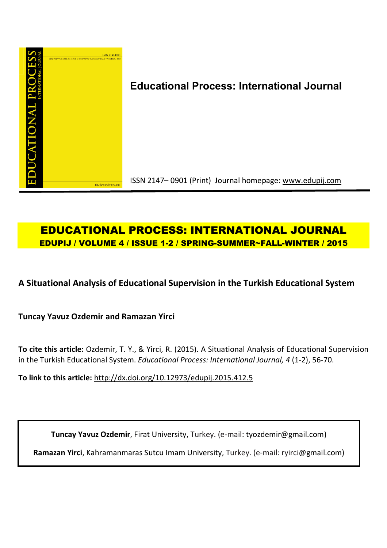

# **Educational Process: International Journal**

ISSN 2147– 0901 (Print) Journal homepage: www.edupij.com

# **EDUCATIONAL PROCESS: INTERNATIONAL JOURNAL EDUPIJ / VOLUME 4 / ISSUE 1-2 / SPRING-SUMMER~FALL-WINTER / 2015**

**A Situational Analysis of Educational Supervision in the Turkish Educational System**

**Tuncay Yavuz Ozdemir and Ramazan Yirci**

**To cite this article:** Ozdemir, T. Y., & Yirci, R. (2015). A Situational Analysis of Educational Supervision in the Turkish Educational System. *Educational Process: International Journal, 4* (1-2), 56-70.

**To link to this article:** http://dx.doi.org/10.12973/edupij.2015.412.5

**Tuncay Yavuz Ozdemir**, Firat University, Turkey. (e-mail: tyozdemir@gmail.com)

**Ramazan Yirci**, Kahramanmaras Sutcu Imam University, Turkey. (e-mail: ryirci@gmail.com)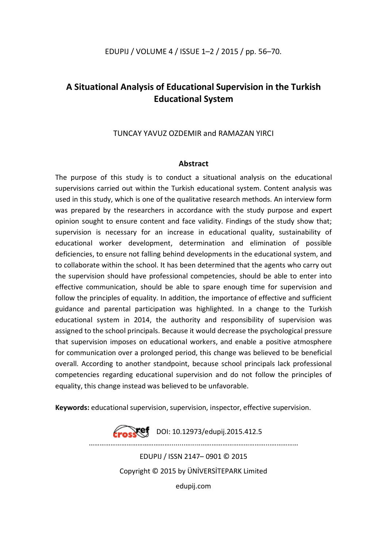## **A Situational Analysis of Educational Supervision in the Turkish Educational System**

### TUNCAY YAVUZ OZDEMIR and RAMAZAN YIRCI

### **Abstract**

The purpose of this study is to conduct a situational analysis on the educational supervisions carried out within the Turkish educational system. Content analysis was used in this study, which is one of the qualitative research methods. An interview form was prepared by the researchers in accordance with the study purpose and expert opinion sought to ensure content and face validity. Findings of the study show that; supervision is necessary for an increase in educational quality, sustainability of educational worker development, determination and elimination of possible deficiencies, to ensure not falling behind developments in the educational system, and to collaborate within the school. It has been determined that the agents who carry out the supervision should have professional competencies, should be able to enter into effective communication, should be able to spare enough time for supervision and follow the principles of equality. In addition, the importance of effective and sufficient guidance and parental participation was highlighted. In a change to the Turkish educational system in 2014, the authority and responsibility of supervision was assigned to the school principals. Because it would decrease the psychological pressure that supervision imposes on educational workers, and enable a positive atmosphere for communication over a prolonged period, this change was believed to be beneficial overall. According to another standpoint, because school principals lack professional competencies regarding educational supervision and do not follow the principles of equality, this change instead was believed to be unfavorable.

**Keywords:** educational supervision, supervision, inspector, effective supervision.



EDUPIJ / ISSN 2147– 0901 © 2015 Copyright © 2015 by ÜNİVERSİTEPARK Limited edupij.com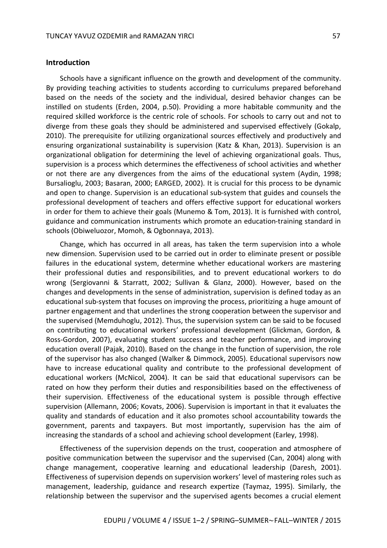#### **Introduction**

Schools have a significant influence on the growth and development of the community. By providing teaching activities to students according to curriculums prepared beforehand based on the needs of the society and the individual, desired behavior changes can be instilled on students (Erden, 2004, p.50). Providing a more habitable community and the required skilled workforce is the centric role of schools. For schools to carry out and not to diverge from these goals they should be administered and supervised effectively (Gokalp, 2010). The prerequisite for utilizing organizational sources effectively and productively and ensuring organizational sustainability is supervision (Katz & Khan, 2013). Supervision is an organizational obligation for determining the level of achieving organizational goals. Thus, supervision is a process which determines the effectiveness of school activities and whether or not there are any divergences from the aims of the educational system (Aydin, 1998; Bursalioglu, 2003; Basaran, 2000; EARGED, 2002). It is crucial for this process to be dynamic and open to change. Supervision is an educational sub-system that guides and counsels the professional development of teachers and offers effective support for educational workers in order for them to achieve their goals (Munemo & Tom, 2013). It is furnished with control, guidance and communication instruments which promote an education-training standard in schools (Obiweluozor, Momoh, & Ogbonnaya, 2013).

Change, which has occurred in all areas, has taken the term supervision into a whole new dimension. Supervision used to be carried out in order to eliminate present or possible failures in the educational system, determine whether educational workers are mastering their professional duties and responsibilities, and to prevent educational workers to do wrong (Sergiovanni & Starratt, 2002; Sullivan & Glanz, 2000). However, based on the changes and developments in the sense of administration, supervision is defined today as an educational sub-system that focuses on improving the process, prioritizing a huge amount of partner engagement and that underlines the strong cooperation between the supervisor and the supervised (Memduhoglu, 2012). Thus, the supervision system can be said to be focused on contributing to educational workers' professional development (Glickman, Gordon, & Ross-Gordon, 2007), evaluating student success and teacher performance, and improving education overall (Pajak, 2010). Based on the change in the function of supervision, the role of the supervisor has also changed (Walker & Dimmock, 2005). Educational supervisors now have to increase educational quality and contribute to the professional development of educational workers (McNicol, 2004). It can be said that educational supervisors can be rated on how they perform their duties and responsibilities based on the effectiveness of their supervision. Effectiveness of the educational system is possible through effective supervision (Allemann, 2006; Kovats, 2006). Supervision is important in that it evaluates the quality and standards of education and it also promotes school accountability towards the government, parents and taxpayers. But most importantly, supervision has the aim of increasing the standards of a school and achieving school development (Earley, 1998).

Effectiveness of the supervision depends on the trust, cooperation and atmosphere of positive communication between the supervisor and the supervised (Can, 2004) along with change management, cooperative learning and educational leadership (Daresh, 2001). Effectiveness of supervision depends on supervision workers' level of mastering roles such as management, leadership, guidance and research expertize (Taymaz, 1995). Similarly, the relationship between the supervisor and the supervised agents becomes a crucial element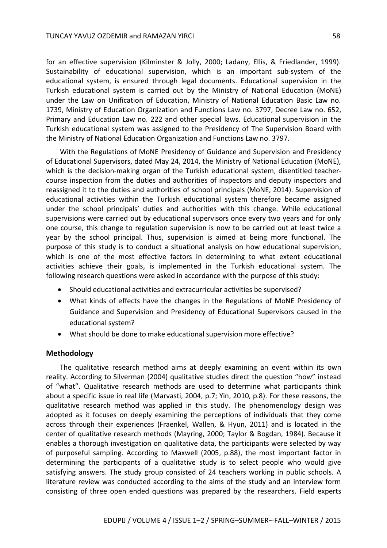for an effective supervision (Kilminster & Jolly, 2000; Ladany, Ellis, & Friedlander, 1999). Sustainability of educational supervision, which is an important sub-system of the educational system, is ensured through legal documents. Educational supervision in the Turkish educational system is carried out by the Ministry of National Education (MoNE) under the Law on Unification of Education, Ministry of National Education Basic Law no. 1739, Ministry of Education Organization and Functions Law no. 3797, Decree Law no. 652, Primary and Education Law no. 222 and other special laws. Educational supervision in the Turkish educational system was assigned to the Presidency of The Supervision Board with the Ministry of National Education Organization and Functions Law no. 3797.

With the Regulations of MoNE Presidency of Guidance and Supervision and Presidency of Educational Supervisors, dated May 24, 2014, the Ministry of National Education (MoNE), which is the decision-making organ of the Turkish educational system, disentitled teachercourse inspection from the duties and authorities of inspectors and deputy inspectors and reassigned it to the duties and authorities of school principals (MoNE, 2014). Supervision of educational activities within the Turkish educational system therefore became assigned under the school principals' duties and authorities with this change. While educational supervisions were carried out by educational supervisors once every two years and for only one course, this change to regulation supervision is now to be carried out at least twice a year by the school principal. Thus, supervision is aimed at being more functional. The purpose of this study is to conduct a situational analysis on how educational supervision, which is one of the most effective factors in determining to what extent educational activities achieve their goals, is implemented in the Turkish educational system. The following research questions were asked in accordance with the purpose of this study:

- Should educational activities and extracurricular activities be supervised?
- What kinds of effects have the changes in the Regulations of MoNE Presidency of Guidance and Supervision and Presidency of Educational Supervisors caused in the educational system?
- What should be done to make educational supervision more effective?

#### **Methodology**

The qualitative research method aims at deeply examining an event within its own reality. According to Silverman (2004) qualitative studies direct the question "how" instead of "what". Qualitative research methods are used to determine what participants think about a specific issue in real life (Marvasti, 2004, p.7; Yin, 2010, p.8). For these reasons, the qualitative research method was applied in this study. The phenomenology design was adopted as it focuses on deeply examining the perceptions of individuals that they come across through their experiences (Fraenkel, Wallen, & Hyun, 2011) and is located in the center of qualitative research methods (Mayring, 2000; Taylor & Bogdan, 1984). Because it enables a thorough investigation on qualitative data, the participants were selected by way of purposeful sampling. According to Maxwell (2005, p.88), the most important factor in determining the participants of a qualitative study is to select people who would give satisfying answers. The study group consisted of 24 teachers working in public schools. A literature review was conducted according to the aims of the study and an interview form consisting of three open ended questions was prepared by the researchers. Field experts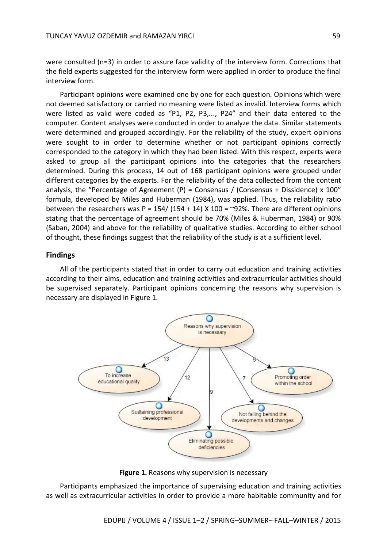were consulted (n=3) in order to assure face validity of the interview form. Corrections that the field experts suggested for the interview form were applied in order to produce the final interview form.

Participant opinions were examined one by one for each question. Opinions which were not deemed satisfactory or carried no meaning were listed as invalid. Interview forms which were listed as valid were coded as "P1, P2, P3,..., P24" and their data entered to the computer. Content analyses were conducted in order to analyze the data. Similar statements were determined and grouped accordingly. For the reliability of the study, expert opinions were sought to in order to determine whether or not participant opinions correctly corresponded to the category in which they had been listed. With this respect, experts were asked to group all the participant opinions into the categories that the researchers determined. During this process, 14 out of 168 participant opinions were grouped under different categories by the experts. For the reliability of the data collected from the content analysis, the "Percentage of Agreement (P) = Consensus / (Consensus + Dissidence) x 100" formula, developed by Miles and Huberman (1984), was applied. Thus, the reliability ratio between the researchers was P = 154/ (154 + 14) X 100 = ~92%. There are different opinions stating that the percentage of agreement should be 70% (Miles & Huberman, 1984) or 90% (Saban, 2004) and above for the reliability of qualitative studies. According to either school of thought, these findings suggest that the reliability of the study is at a sufficient level.

#### **Findings**

All of the participants stated that in order to carry out education and training activities according to their aims, education and training activities and extracurricular activities should be supervised separately. Participant opinions concerning the reasons why supervision is necessary are displayed in Figure 1.



**Figure 1.** Reasons why supervision is necessary

Participants emphasized the importance of supervising education and training activities as well as extracurricular activities in order to provide a more habitable community and for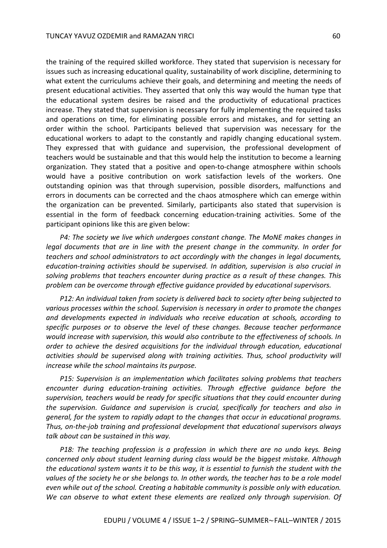the training of the required skilled workforce. They stated that supervision is necessary for issues such as increasing educational quality, sustainability of work discipline, determining to what extent the curriculums achieve their goals, and determining and meeting the needs of present educational activities. They asserted that only this way would the human type that the educational system desires be raised and the productivity of educational practices increase. They stated that supervision is necessary for fully implementing the required tasks and operations on time, for eliminating possible errors and mistakes, and for setting an order within the school. Participants believed that supervision was necessary for the educational workers to adapt to the constantly and rapidly changing educational system. They expressed that with guidance and supervision, the professional development of teachers would be sustainable and that this would help the institution to become a learning organization. They stated that a positive and open-to-change atmosphere within schools would have a positive contribution on work satisfaction levels of the workers. One outstanding opinion was that through supervision, possible disorders, malfunctions and errors in documents can be corrected and the chaos atmosphere which can emerge within the organization can be prevented. Similarly, participants also stated that supervision is essential in the form of feedback concerning education-training activities. Some of the participant opinions like this are given below:

*P4: The society we live which undergoes constant change. The MoNE makes changes in legal documents that are in line with the present change in the community. In order for teachers and school administrators to act accordingly with the changes in legal documents, education-training activities should be supervised. In addition, supervision is also crucial in solving problems that teachers encounter during practice as a result of these changes. This problem can be overcome through effective guidance provided by educational supervisors.*

*P12: An individual taken from society is delivered back to society after being subjected to various processes within the school. Supervision is necessary in order to promote the changes and developments expected in individuals who receive education at schools, according to specific purposes or to observe the level of these changes. Because teacher performance would increase with supervision, this would also contribute to the effectiveness of schools. In order to achieve the desired acquisitions for the individual through education, educational activities should be supervised along with training activities. Thus, school productivity will increase while the school maintains its purpose.*

*P15: Supervision is an implementation which facilitates solving problems that teachers encounter during education-training activities. Through effective guidance before the supervision, teachers would be ready for specific situations that they could encounter during the supervision. Guidance and supervision is crucial, specifically for teachers and also in general, for the system to rapidly adapt to the changes that occur in educational programs. Thus, on-the-job training and professional development that educational supervisors always talk about can be sustained in this way.*

*P18: The teaching profession is a profession in which there are no undo keys. Being concerned only about student learning during class would be the biggest mistake. Although the educational system wants it to be this way, it is essential to furnish the student with the values of the society he or she belongs to. In other words, the teacher has to be a role model even while out of the school. Creating a habitable community is possible only with education. We can observe to what extent these elements are realized only through supervision. Of*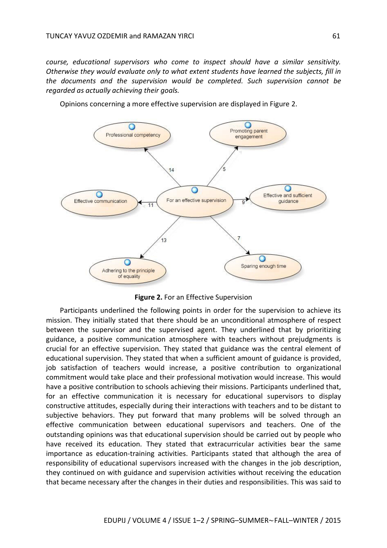*course, educational supervisors who come to inspect should have a similar sensitivity. Otherwise they would evaluate only to what extent students have learned the subjects, fill in the documents and the supervision would be completed. Such supervision cannot be regarded as actually achieving their goals.*



Opinions concerning a more effective supervision are displayed in Figure 2.

**Figure 2.** For an Effective Supervision

Participants underlined the following points in order for the supervision to achieve its mission. They initially stated that there should be an unconditional atmosphere of respect between the supervisor and the supervised agent. They underlined that by prioritizing guidance, a positive communication atmosphere with teachers without prejudgments is crucial for an effective supervision. They stated that guidance was the central element of educational supervision. They stated that when a sufficient amount of guidance is provided, job satisfaction of teachers would increase, a positive contribution to organizational commitment would take place and their professional motivation would increase. This would have a positive contribution to schools achieving their missions. Participants underlined that, for an effective communication it is necessary for educational supervisors to display constructive attitudes, especially during their interactions with teachers and to be distant to subjective behaviors. They put forward that many problems will be solved through an effective communication between educational supervisors and teachers. One of the outstanding opinions was that educational supervision should be carried out by people who have received its education. They stated that extracurricular activities bear the same importance as education-training activities. Participants stated that although the area of responsibility of educational supervisors increased with the changes in the job description, they continued on with guidance and supervision activities without receiving the education that became necessary after the changes in their duties and responsibilities. This was said to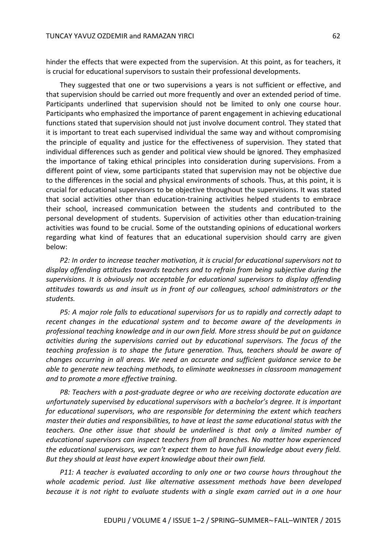hinder the effects that were expected from the supervision. At this point, as for teachers, it is crucial for educational supervisors to sustain their professional developments.

They suggested that one or two supervisions a years is not sufficient or effective, and that supervision should be carried out more frequently and over an extended period of time. Participants underlined that supervision should not be limited to only one course hour. Participants who emphasized the importance of parent engagement in achieving educational functions stated that supervision should not just involve document control. They stated that it is important to treat each supervised individual the same way and without compromising the principle of equality and justice for the effectiveness of supervision. They stated that individual differences such as gender and political view should be ignored. They emphasized the importance of taking ethical principles into consideration during supervisions. From a different point of view, some participants stated that supervision may not be objective due to the differences in the social and physical environments of schools. Thus, at this point, it is crucial for educational supervisors to be objective throughout the supervisions. It was stated that social activities other than education-training activities helped students to embrace their school, increased communication between the students and contributed to the personal development of students. Supervision of activities other than education-training activities was found to be crucial. Some of the outstanding opinions of educational workers regarding what kind of features that an educational supervision should carry are given below:

*P2: In order to increase teacher motivation, it is crucial for educational supervisors not to display offending attitudes towards teachers and to refrain from being subjective during the supervisions. It is obviously not acceptable for educational supervisors to display offending attitudes towards us and insult us in front of our colleagues, school administrators or the students.*

*P5: A major role falls to educational supervisors for us to rapidly and correctly adapt to recent changes in the educational system and to become aware of the developments in professional teaching knowledge and in our own field. More stress should be put on guidance activities during the supervisions carried out by educational supervisors. The focus of the teaching profession is to shape the future generation. Thus, teachers should be aware of changes occurring in all areas. We need an accurate and sufficient guidance service to be able to generate new teaching methods, to eliminate weaknesses in classroom management and to promote a more effective training.*

*P8: Teachers with a post-graduate degree or who are receiving doctorate education are unfortunately supervised by educational supervisors with a bachelor's degree. It is important for educational supervisors, who are responsible for determining the extent which teachers master their duties and responsibilities, to have at least the same educational status with the teachers. One other issue that should be underlined is that only a limited number of educational supervisors can inspect teachers from all branches. No matter how experienced the educational supervisors, we can't expect them to have full knowledge about every field. But they should at least have expert knowledge about their own field.*

*P11: A teacher is evaluated according to only one or two course hours throughout the whole academic period. Just like alternative assessment methods have been developed because it is not right to evaluate students with a single exam carried out in a one hour*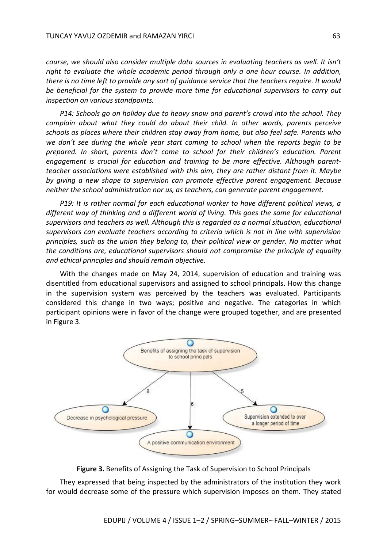*course, we should also consider multiple data sources in evaluating teachers as well. It isn't right to evaluate the whole academic period through only a one hour course. In addition, there is no time left to provide any sort of guidance service that the teachers require. It would be beneficial for the system to provide more time for educational supervisors to carry out inspection on various standpoints.*

*P14: Schools go on holiday due to heavy snow and parent's crowd into the school. They complain about what they could do about their child. In other words, parents perceive schools as places where their children stay away from home, but also feel safe. Parents who we don't see during the whole year start coming to school when the reports begin to be prepared. In short, parents don't come to school for their children's education. Parent engagement is crucial for education and training to be more effective. Although parentteacher associations were established with this aim, they are rather distant from it. Maybe by giving a new shape to supervision can promote effective parent engagement. Because neither the school administration nor us, as teachers, can generate parent engagement.*

*P19: It is rather normal for each educational worker to have different political views, a different way of thinking and a different world of living. This goes the same for educational supervisors and teachers as well. Although this is regarded as a normal situation, educational supervisors can evaluate teachers according to criteria which is not in line with supervision principles, such as the union they belong to, their political view or gender. No matter what the conditions are, educational supervisors should not compromise the principle of equality and ethical principles and should remain objective.*

With the changes made on May 24, 2014, supervision of education and training was disentitled from educational supervisors and assigned to school principals. How this change in the supervision system was perceived by the teachers was evaluated. Participants considered this change in two ways; positive and negative. The categories in which participant opinions were in favor of the change were grouped together, and are presented in Figure 3.



**Figure 3.** Benefits of Assigning the Task of Supervision to School Principals

They expressed that being inspected by the administrators of the institution they work for would decrease some of the pressure which supervision imposes on them. They stated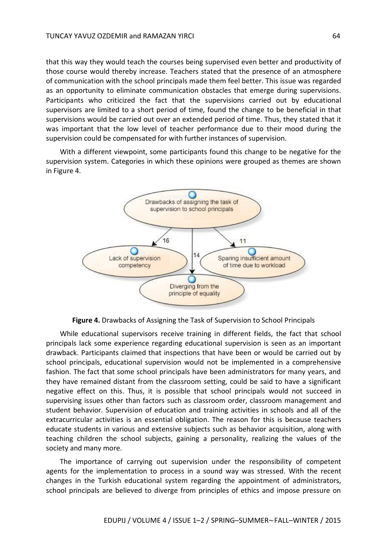that this way they would teach the courses being supervised even better and productivity of those course would thereby increase. Teachers stated that the presence of an atmosphere of communication with the school principals made them feel better. This issue was regarded as an opportunity to eliminate communication obstacles that emerge during supervisions. Participants who criticized the fact that the supervisions carried out by educational supervisors are limited to a short period of time, found the change to be beneficial in that supervisions would be carried out over an extended period of time. Thus, they stated that it was important that the low level of teacher performance due to their mood during the supervision could be compensated for with further instances of supervision.

With a different viewpoint, some participants found this change to be negative for the supervision system. Categories in which these opinions were grouped as themes are shown in Figure 4.



**Figure 4.** Drawbacks of Assigning the Task of Supervision to School Principals

While educational supervisors receive training in different fields, the fact that school principals lack some experience regarding educational supervision is seen as an important drawback. Participants claimed that inspections that have been or would be carried out by school principals, educational supervision would not be implemented in a comprehensive fashion. The fact that some school principals have been administrators for many years, and they have remained distant from the classroom setting, could be said to have a significant negative effect on this. Thus, it is possible that school principals would not succeed in supervising issues other than factors such as classroom order, classroom management and student behavior. Supervision of education and training activities in schools and all of the extracurricular activities is an essential obligation. The reason for this is because teachers educate students in various and extensive subjects such as behavior acquisition, along with teaching children the school subjects, gaining a personality, realizing the values of the society and many more.

The importance of carrying out supervision under the responsibility of competent agents for the implementation to process in a sound way was stressed. With the recent changes in the Turkish educational system regarding the appointment of administrators, school principals are believed to diverge from principles of ethics and impose pressure on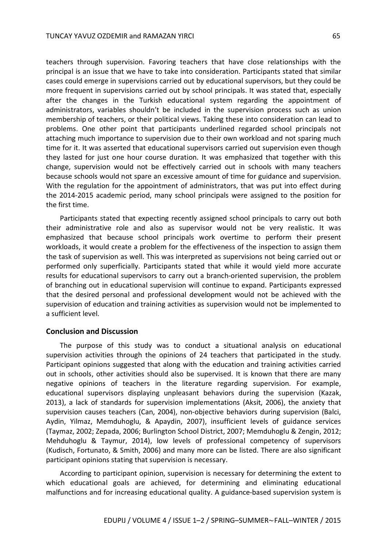teachers through supervision. Favoring teachers that have close relationships with the principal is an issue that we have to take into consideration. Participants stated that similar cases could emerge in supervisions carried out by educational supervisors, but they could be more frequent in supervisions carried out by school principals. It was stated that, especially after the changes in the Turkish educational system regarding the appointment of administrators, variables shouldn't be included in the supervision process such as union membership of teachers, or their political views. Taking these into consideration can lead to problems. One other point that participants underlined regarded school principals not attaching much importance to supervision due to their own workload and not sparing much time for it. It was asserted that educational supervisors carried out supervision even though they lasted for just one hour course duration. It was emphasized that together with this change, supervision would not be effectively carried out in schools with many teachers because schools would not spare an excessive amount of time for guidance and supervision. With the regulation for the appointment of administrators, that was put into effect during the 2014-2015 academic period, many school principals were assigned to the position for the first time.

Participants stated that expecting recently assigned school principals to carry out both their administrative role and also as supervisor would not be very realistic. It was emphasized that because school principals work overtime to perform their present workloads, it would create a problem for the effectiveness of the inspection to assign them the task of supervision as well. This was interpreted as supervisions not being carried out or performed only superficially. Participants stated that while it would yield more accurate results for educational supervisors to carry out a branch-oriented supervision, the problem of branching out in educational supervision will continue to expand. Participants expressed that the desired personal and professional development would not be achieved with the supervision of education and training activities as supervision would not be implemented to a sufficient level.

#### **Conclusion and Discussion**

The purpose of this study was to conduct a situational analysis on educational supervision activities through the opinions of 24 teachers that participated in the study. Participant opinions suggested that along with the education and training activities carried out in schools, other activities should also be supervised. It is known that there are many negative opinions of teachers in the literature regarding supervision. For example, educational supervisors displaying unpleasant behaviors during the supervision (Kazak, 2013), a lack of standards for supervision implementations (Aksit, 2006), the anxiety that supervision causes teachers (Can, 2004), non-objective behaviors during supervision (Balci, Aydin, Yilmaz, Memduhoglu, & Apaydin, 2007), insufficient levels of guidance services (Taymaz, 2002; Zepada, 2006; Burlington School District, 2007; Memduhoglu & Zengin, 2012; Mehduhoglu & Taymur, 2014), low levels of professional competency of supervisors (Kudisch, Fortunato, & Smith, 2006) and many more can be listed. There are also significant participant opinions stating that supervision is necessary.

According to participant opinion, supervision is necessary for determining the extent to which educational goals are achieved, for determining and eliminating educational malfunctions and for increasing educational quality. A guidance-based supervision system is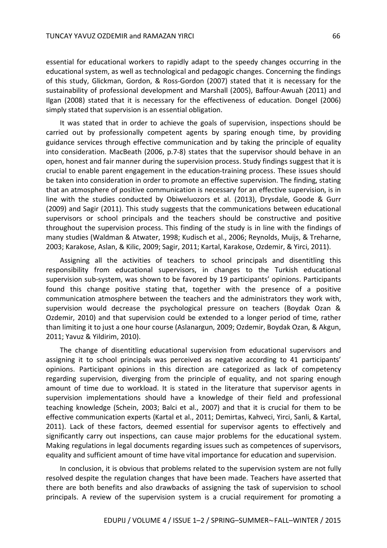essential for educational workers to rapidly adapt to the speedy changes occurring in the educational system, as well as technological and pedagogic changes. Concerning the findings of this study, Glickman, Gordon, & Ross-Gordon (2007) stated that it is necessary for the sustainability of professional development and Marshall (2005), Baffour-Awuah (2011) and Ilgan (2008) stated that it is necessary for the effectiveness of education. Dongel (2006) simply stated that supervision is an essential obligation.

It was stated that in order to achieve the goals of supervision, inspections should be carried out by professionally competent agents by sparing enough time, by providing guidance services through effective communication and by taking the principle of equality into consideration. MacBeath (2006, p.7-8) states that the supervisor should behave in an open, honest and fair manner during the supervision process. Study findings suggest that it is crucial to enable parent engagement in the education-training process. These issues should be taken into consideration in order to promote an effective supervision. The finding, stating that an atmosphere of positive communication is necessary for an effective supervision, is in line with the studies conducted by Obiweluozors et al. (2013), Drysdale, Goode & Gurr (2009) and Sagir (2011). This study suggests that the communications between educational supervisors or school principals and the teachers should be constructive and positive throughout the supervision process. This finding of the study is in line with the findings of many studies (Waldman & Atwater, 1998; Kudisch et al., 2006; Reynolds, Muijs, & Treharne, 2003; Karakose, Aslan, & Kilic, 2009; Sagir, 2011; Kartal, Karakose, Ozdemir, & Yirci, 2011).

Assigning all the activities of teachers to school principals and disentitling this responsibility from educational supervisors, in changes to the Turkish educational supervision sub-system, was shown to be favored by 19 participants' opinions. Participants found this change positive stating that, together with the presence of a positive communication atmosphere between the teachers and the administrators they work with, supervision would decrease the psychological pressure on teachers (Boydak Ozan & Ozdemir, 2010) and that supervision could be extended to a longer period of time, rather than limiting it to just a one hour course (Aslanargun, 2009; Ozdemir, Boydak Ozan, & Akgun, 2011; Yavuz & Yildirim, 2010).

The change of disentitling educational supervision from educational supervisors and assigning it to school principals was perceived as negative according to 41 participants' opinions. Participant opinions in this direction are categorized as lack of competency regarding supervision, diverging from the principle of equality, and not sparing enough amount of time due to workload. It is stated in the literature that supervisor agents in supervision implementations should have a knowledge of their field and professional teaching knowledge (Schein, 2003; Balci et al., 2007) and that it is crucial for them to be effective communication experts (Kartal et al., 2011; Demirtas, Kahveci, Yirci, Sanli, & Kartal, 2011). Lack of these factors, deemed essential for supervisor agents to effectively and significantly carry out inspections, can cause major problems for the educational system. Making regulations in legal documents regarding issues such as competences of supervisors, equality and sufficient amount of time have vital importance for education and supervision.

In conclusion, it is obvious that problems related to the supervision system are not fully resolved despite the regulation changes that have been made. Teachers have asserted that there are both benefits and also drawbacks of assigning the task of supervision to school principals. A review of the supervision system is a crucial requirement for promoting a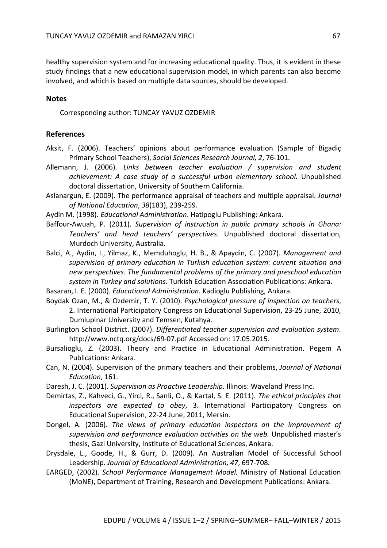healthy supervision system and for increasing educational quality. Thus, it is evident in these study findings that a new educational supervision model, in which parents can also become involved, and which is based on multiple data sources, should be developed.

#### **Notes**

Corresponding author: TUNCAY YAVUZ OZDEMIR

#### **References**

- Aksit, F. (2006). Teachers' opinions about performance evaluation (Sample of Bigadiç Primary School Teachers), *Social Sciences Research Journal, 2*, 76-101.
- Allemann, J. (2006). *Links between teacher evaluation / supervision and student achievement: A case study of a successful urban elementary school.* Unpublished doctoral dissertation, University of Southern California.
- Aslanargun, E. (2009). The performance appraisal of teachers and multiple appraisal. *Journal of National Education*, *38*(183), 239-259.
- Aydin M. (1998). *Educational Administration*. Hatipoglu Publishing: Ankara.
- Baffour-Awuah, P. (2011). *Supervision of instruction in public primary schools in Ghana: Teachers' and head teachers' perspectives*. Unpublished doctoral dissertation, Murdoch University, Australia.
- Balci, A., Aydin, I., Yilmaz, K., Memduhoglu, H. B., & Apaydin, C. (2007). *Management and supervision of primary education in Turkish education system: current situation and new perspectives. The fundamental problems of the primary and preschool education system in Turkey and solutions*. Turkish Education Association Publications: Ankara.
- Basaran, I. E. (2000). *Educational Administration.* Kadioglu Publishing, Ankara.
- Boydak Ozan, M., & Ozdemir, T. Y. (2010). *Psychological pressure of inspection on teachers*, 2. International Participatory Congress on Educational Supervision, 23-25 June, 2010, Dumlupinar University and Temsen, Kutahya.
- Burlington School District. (2007). *Differentiated teacher supervision and evaluation system*. http://www.nctq.org/docs/69-07.pdf Accessed on: 17.05.2015.
- Bursalioglu, Z. (2003). Theory and Practice in Educational Administration. Pegem A Publications: Ankara.
- Can, N. (2004). Supervision of the primary teachers and their problems, *Journal of National Education*, 161.
- Daresh, J. C. (2001). *Supervision as Proactive Leadership.* Illinois: Waveland Press Inc.
- Demirtas, Z., Kahveci, G., Yirci, R., Sanli, O., & Kartal, S. E. (2011). *The ethical principles that inspectors are expected to obey*, 3. International Participatory Congress on Educational Supervision, 22-24 June, 2011, Mersin.
- Dongel, A. (2006). *The views of primary education inspectors on the improvement of supervision and performance evaluation activities on the web.* Unpublished master's thesis, Gazi University, Institute of Educational Sciences, Ankara.
- Drysdale, L., Goode, H., & Gurr, D. (2009). An Australian Model of Successful School Leadership. *Journal of Educational Administration, 47*, 697-708.
- EARGED, (2002). *School Performance Management Model.* Ministry of National Education (MoNE), Department of Training, Research and Development Publications: Ankara.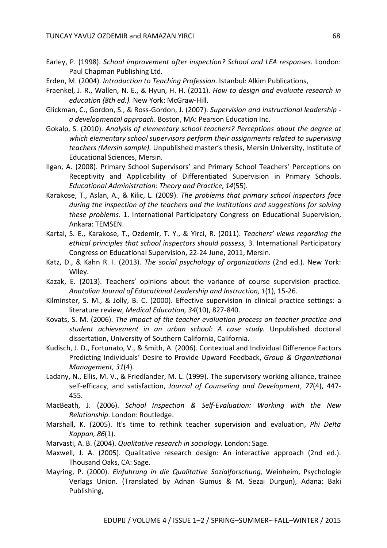- Earley, P. (1998). *School improvement after inspection? School and LEA responses*. London: Paul Chapman Publishing Ltd.
- Erden, M. (2004). *Introduction to Teaching Profession*. Istanbul: Alkim Publications,
- Fraenkel, J. R., Wallen, N. E., & Hyun, H. H. (2011). *How to design and evaluate research in education (8th ed.).* New York: McGraw-Hill.
- Glickman, C., Gordon, S., & Ross-Gordon, J. (2007). *Supervision and instructional leadership a developmental approach*. Boston, MA: Pearson Education Inc.
- Gokalp, S. (2010). *Analysis of elementary school teachers? Perceptions about the degree at which elementary school supervisors perform their assignments related to supervising teachers (Mersin sample).* Unpublished master's thesis, Mersin University, Institute of Educational Sciences, Mersin.
- Ilgan, A. (2008). Primary School Supervisors' and Primary School Teachers' Perceptions on Receptivity and Applicability of Differentiated Supervision in Primary Schools. *Educational Administration: Theory and Practice, 14*(55).
- Karakose, T., Aslan, A., & Kilic, L. (2009). *The problems that primary school inspectors face during the inspection of the teachers and the institutions and suggestions for solving these problems.* 1. International Participatory Congress on Educational Supervision, Ankara: TEMSEN.
- Kartal, S. E., Karakose, T., Ozdemir, T. Y., & Yirci, R. (2011). *Teachers' views regarding the ethical principles that school inspectors should possess*, 3. International Participatory Congress on Educational Supervision, 22-24 June, 2011, Mersin.
- Katz, D., & Kahn R. I. (2013). *The social psychology of organizations* (2nd ed.). New York: Wiley.
- Kazak, E. (2013). Teachers' opinions about the variance of course supervision practice. *Anatolian Journal of Educational Leadership and Instruction, 1*(1), 15-26.
- Kilminster, S. M., & Jolly, B. C. (2000). Effective supervision in clinical practice settings: a literature review, *Medical Education, 34*(10), 827-840.
- Kovats, S. M. (2006). *The impact of the teacher evaluation process on teacher practice and student achievement in an urban school: A case study.* Unpublished doctoral dissertation, University of Southern California, California.
- Kudisch, J. D., Fortunato, V., & Smith, A. (2006). Contextual and Individual Difference Factors Predicting Individuals' Desire to Provide Upward Feedback, *Group & Organizational Management, 31*(4).
- Ladany, N., Ellis, M. V., & Friedlander, M. L. (1999). The supervisory working alliance, trainee self-efficacy, and satisfaction, *Journal of Counseling and Development*, *77*(4), 447- 455.
- MacBeath, J. (2006). *School Inspection & Self-Evaluation: Working with the New Relationship*. London: Routledge.
- Marshall, K. (2005). It's time to rethink teacher supervision and evaluation, *Phi Delta Kappan, 86*(1).
- Marvasti, A. B. (2004). *Qualitative research in sociology.* London: Sage.
- Maxwell, J. A. (2005). Qualitative research design: An interactive approach (2nd ed.). Thousand Oaks, CA: Sage.
- Mayring, P. (2000). *Einfuhrung in die Qualitative Sozialforschung,* Weinheim, Psychologie Verlags Union. (Translated by Adnan Gumus & M. Sezai Durgun), Adana: Baki Publishing,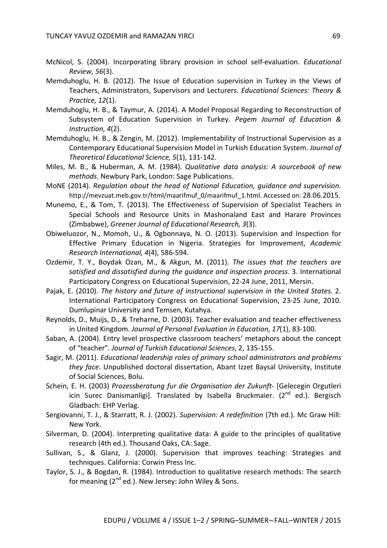- McNicol, S. (2004). Incorporating library provision in school self-evaluation. *Educational Review, 56*(3).
- Memduhoglu, H. B. (2012). The Issue of Education supervision in Turkey in the Views of Teachers, Administrators, Supervisors and Lecturers. *Educational Sciences: Theory & Practice, 12*(1).
- Memduhoglu, H. B., & Taymur, A. (2014). A Model Proposal Regarding to Reconstruction of Subsystem of Education Supervision in Turkey. *Pegem Journal of Education & Instruction, 4*(2).
- Memduhoglu, H. B., & Zengin, M. (2012). Implementability of Instructional Supervision as a Contemporary Educational Supervision Model in Turkish Education System. *Journal of Theoretical Educational Science, 5*(1), 131-142.
- Miles, M. B., & Huberman, A. M. (1984). *Qualitative data analysis: A sourcebook of new methods*. Newbury Park, London: Sage Publications.
- MoNE (2014). *Regulation about the head of National Education, guidance and supervision*. http://mevzuat.meb.gov.tr/html/maarifmuf\_0/maarifmuf\_1.html. Accessed on: 28.06.2015.
- Munemo, E., & Tom, T. (2013). The Effectiveness of Supervision of Specialist Teachers in Special Schools and Resource Units in Mashonaland East and Harare Provinces (Zimbabwe), *Greener Journal of Educational Research, 3*(3).
- Obiweluozor, N., Momoh, U., & Ogbonnaya, N. O. (2013). Supervision and Inspection for Effective Primary Education in Nigeria. Strategies for Improvement, *Academic Research International, 4*(4), 586-594.
- Ozdemir, T. Y., Boydak Ozan, M., & Akgun, M. (2011). *The issues that the teachers are satisfied and dissatisfied during the guidance and inspection process*. 3. International Participatory Congress on Educational Supervision, 22-24 June, 2011, Mersin.
- Pajak, E. (2010). *The history and future of instructional supervision in the United States.* 2. International Participatory Congress on Educational Supervision, 23-25 June, 2010. Dumlupinar University and Temsen, Kutahya.
- Reynolds, D., Muijs, D., & Treharne, D. (2003). Teacher evaluation and teacher effectiveness in United Kingdom. *Journal of Personal Evaluation in Education, 17*(1), 83-100.
- Saban, A. (2004). Entry level prospective classroom teachers' metaphors about the concept of "teacher". *Journal of Turkish Educational Sciences*, 2, 135-155.
- Sagir, M. (2011). *Educational leadership roles of primary school administrators and problems they face*. Unpublished doctoral dissertation, Abant Izzet Baysal University, Institute of Social Sciences, Bolu.
- Schein, E. H. (2003) *Prozessberatung fur die Organisation der Zukunft-* [Gelecegin Orgutleri icin Surec Danismanligi]. Translated by Isabella Bruckmaier. (2<sup>nd</sup> ed.). Bergisch Gladbach: EHP Verlag.
- Sergiovanni, T. J., & Starratt, R. J. (2002). *Supervision: A redefinition* (7th ed.). Mc Graw Hill: New York.
- Silverman, D. (2004). Interpreting qualitative data: A guide to the principles of qualitative research (4th ed.). Thousand Oaks, CA: Sage.
- Sullivan, S., & Glanz, J. (2000). Supervision that improves teaching: Strategies and techniques. California: Corwin Press Inc.
- Taylor, S. J., & Bogdan, R. (1984). Introduction to qualitative research methods: The search for meaning  $(2^{nd}$  ed.). New Jersey: John Wiley & Sons.